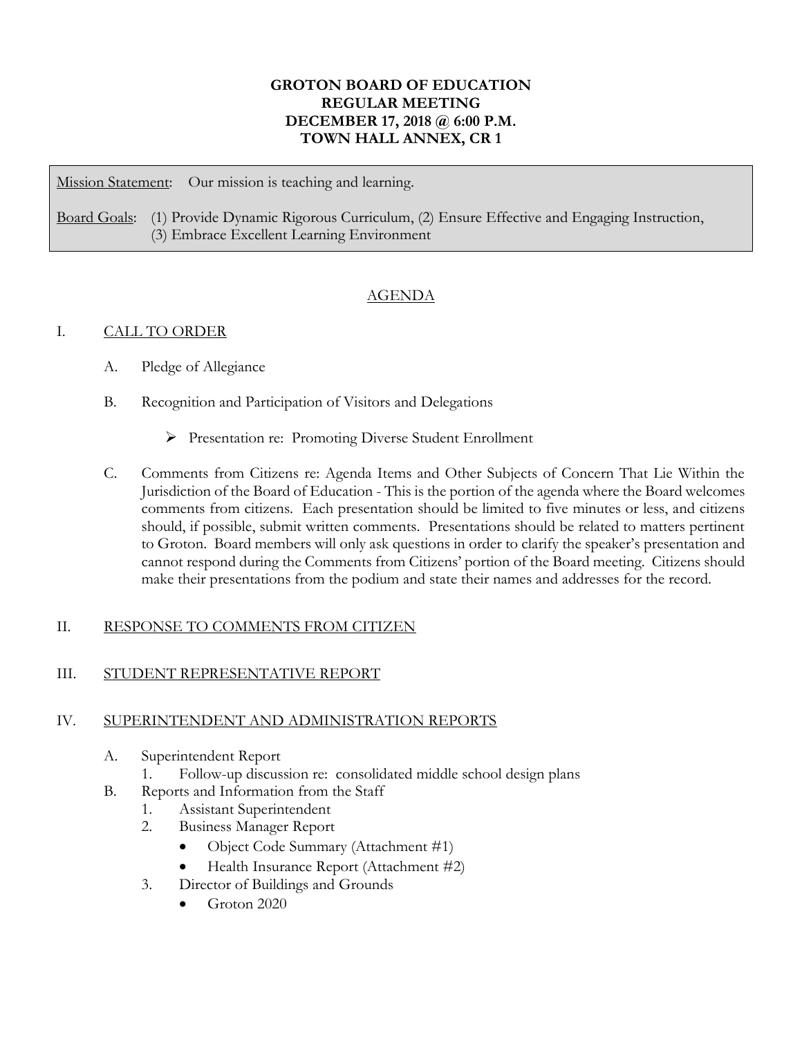## **GROTON BOARD OF EDUCATION REGULAR MEETING DECEMBER 17, 2018 @ 6:00 P.M. TOWN HALL ANNEX, CR 1**

Mission Statement: Our mission is teaching and learning.

Board Goals: (1) Provide Dynamic Rigorous Curriculum, (2) Ensure Effective and Engaging Instruction, (3) Embrace Excellent Learning Environment

## AGENDA

### I. CALL TO ORDER

- A. Pledge of Allegiance
- B. Recognition and Participation of Visitors and Delegations
	- Presentation re: Promoting Diverse Student Enrollment
- C. Comments from Citizens re: Agenda Items and Other Subjects of Concern That Lie Within the Jurisdiction of the Board of Education - This is the portion of the agenda where the Board welcomes comments from citizens. Each presentation should be limited to five minutes or less, and citizens should, if possible, submit written comments. Presentations should be related to matters pertinent to Groton. Board members will only ask questions in order to clarify the speaker's presentation and cannot respond during the Comments from Citizens' portion of the Board meeting. Citizens should make their presentations from the podium and state their names and addresses for the record.

# II. RESPONSE TO COMMENTS FROM CITIZEN

### III. STUDENT REPRESENTATIVE REPORT

### IV. SUPERINTENDENT AND ADMINISTRATION REPORTS

- A. Superintendent Report
	- 1. Follow-up discussion re: consolidated middle school design plans
- B. Reports and Information from the Staff
	- 1. Assistant Superintendent
	- 2. Business Manager Report
		- Object Code Summary (Attachment #1)
		- Health Insurance Report (Attachment #2)
	- 3. Director of Buildings and Grounds
		- Groton 2020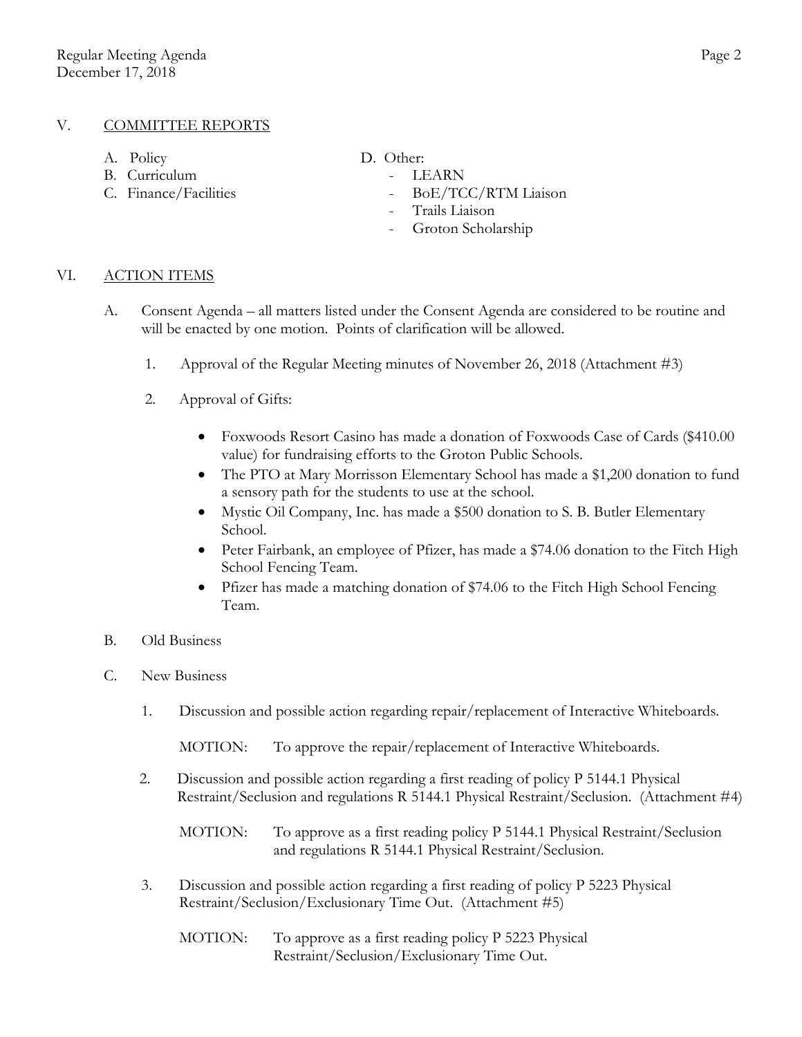#### V. COMMITTEE REPORTS

- 
- B. Curriculum LEARN
- 
- A. Policy D. Other:
	-
- C. Finance/Facilities BoE/TCC/RTM Liaison
	- Trails Liaison
	- Groton Scholarship

#### VI. ACTION ITEMS

- A. Consent Agenda all matters listed under the Consent Agenda are considered to be routine and will be enacted by one motion. Points of clarification will be allowed.
	- 1. Approval of the Regular Meeting minutes of November 26, 2018 (Attachment #3)
	- 2. Approval of Gifts:
		- Foxwoods Resort Casino has made a donation of Foxwoods Case of Cards (\$410.00 value) for fundraising efforts to the Groton Public Schools.
		- The PTO at Mary Morrisson Elementary School has made a \$1,200 donation to fund a sensory path for the students to use at the school.
		- Mystic Oil Company, Inc. has made a \$500 donation to S. B. Butler Elementary School.
		- Peter Fairbank, an employee of Pfizer, has made a \$74.06 donation to the Fitch High School Fencing Team.
		- Pfizer has made a matching donation of \$74.06 to the Fitch High School Fencing Team.

#### B. Old Business

- C. New Business
	- 1. Discussion and possible action regarding repair/replacement of Interactive Whiteboards.

MOTION: To approve the repair/replacement of Interactive Whiteboards.

2. Discussion and possible action regarding a first reading of policy P 5144.1 Physical Restraint/Seclusion and regulations R 5144.1 Physical Restraint/Seclusion. (Attachment #4)

MOTION: To approve as a first reading policy P 5144.1 Physical Restraint/Seclusion and regulations R 5144.1 Physical Restraint/Seclusion.

3. Discussion and possible action regarding a first reading of policy P 5223 Physical Restraint/Seclusion/Exclusionary Time Out. (Attachment #5)

MOTION: To approve as a first reading policy P 5223 Physical Restraint/Seclusion/Exclusionary Time Out.